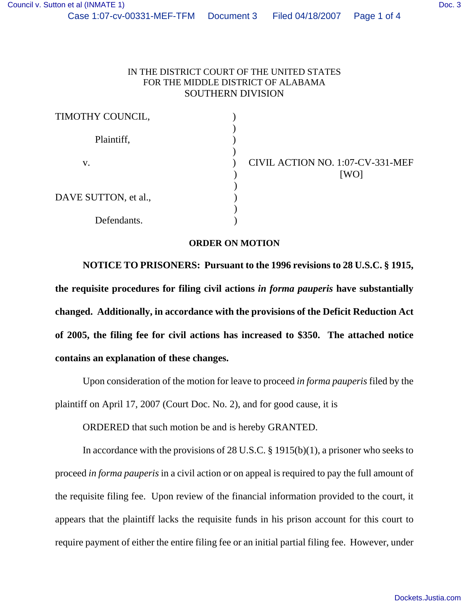## IN THE DISTRICT COURT OF THE UNITED STATES FOR THE MIDDLE DISTRICT OF ALABAMA SOUTHERN DIVISION

| TIMOTHY COUNCIL,     |                                 |
|----------------------|---------------------------------|
| Plaintiff,           |                                 |
| V.                   | CIVIL ACTION NO. 1:07-C<br>[WO] |
| DAVE SUTTON, et al., |                                 |
| Defendants.          |                                 |

CIVIL ACTION NO. 1:07-CV-331-MEF

## **ORDER ON MOTION**

**NOTICE TO PRISONERS: Pursuant to the 1996 revisions to 28 U.S.C. § 1915, the requisite procedures for filing civil actions** *in forma pauperis* **have substantially changed. Additionally, in accordance with the provisions of the Deficit Reduction Act of 2005, the filing fee for civil actions has increased to \$350. The attached notice contains an explanation of these changes.**

Upon consideration of the motion for leave to proceed *in forma pauperis* filed by the plaintiff on April 17, 2007 (Court Doc. No. 2), and for good cause, it is

ORDERED that such motion be and is hereby GRANTED.

In accordance with the provisions of 28 U.S.C. § 1915(b)(1), a prisoner who seeks to proceed *in forma pauperis* in a civil action or on appeal is required to pay the full amount of the requisite filing fee. Upon review of the financial information provided to the court, it appears that the plaintiff lacks the requisite funds in his prison account for this court to require payment of either the entire filing fee or an initial partial filing fee. However, under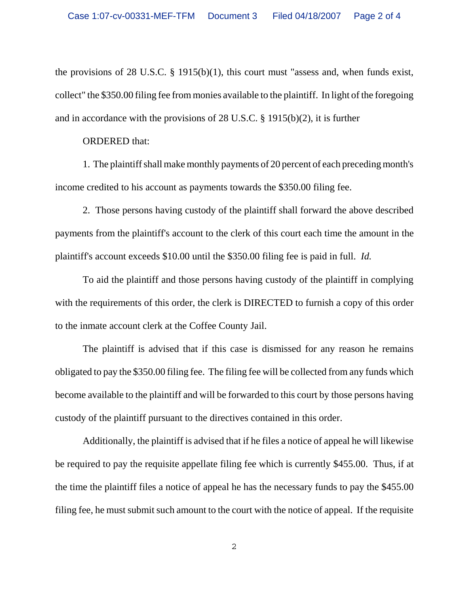the provisions of 28 U.S.C. § 1915(b)(1), this court must "assess and, when funds exist, collect" the \$350.00 filing fee from monies available to the plaintiff. In light of the foregoing and in accordance with the provisions of 28 U.S.C. § 1915(b)(2), it is further

## ORDERED that:

1. The plaintiff shall make monthly payments of 20 percent of each preceding month's income credited to his account as payments towards the \$350.00 filing fee.

2. Those persons having custody of the plaintiff shall forward the above described payments from the plaintiff's account to the clerk of this court each time the amount in the plaintiff's account exceeds \$10.00 until the \$350.00 filing fee is paid in full. *Id.* 

To aid the plaintiff and those persons having custody of the plaintiff in complying with the requirements of this order, the clerk is DIRECTED to furnish a copy of this order to the inmate account clerk at the Coffee County Jail.

The plaintiff is advised that if this case is dismissed for any reason he remains obligated to pay the \$350.00 filing fee. The filing fee will be collected from any funds which become available to the plaintiff and will be forwarded to this court by those persons having custody of the plaintiff pursuant to the directives contained in this order.

Additionally, the plaintiff is advised that if he files a notice of appeal he will likewise be required to pay the requisite appellate filing fee which is currently \$455.00. Thus, if at the time the plaintiff files a notice of appeal he has the necessary funds to pay the \$455.00 filing fee, he must submit such amount to the court with the notice of appeal. If the requisite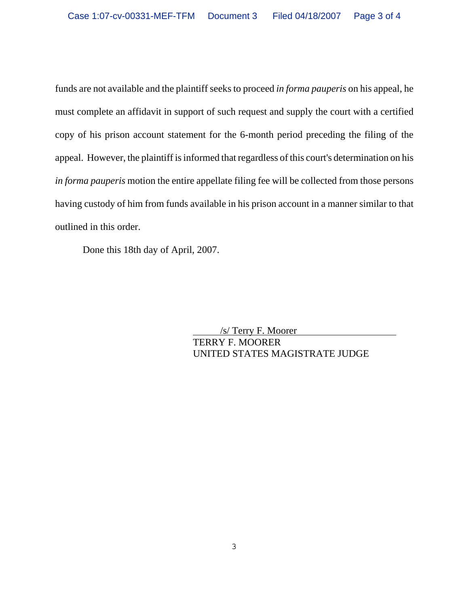funds are not available and the plaintiff seeks to proceed *in forma pauperis* on his appeal, he must complete an affidavit in support of such request and supply the court with a certified copy of his prison account statement for the 6-month period preceding the filing of the appeal. However, the plaintiff is informed that regardless of this court's determination on his *in forma pauperis* motion the entire appellate filing fee will be collected from those persons having custody of him from funds available in his prison account in a manner similar to that outlined in this order.

Done this 18th day of April, 2007.

 /s/ Terry F. Moorer TERRY F. MOORER UNITED STATES MAGISTRATE JUDGE